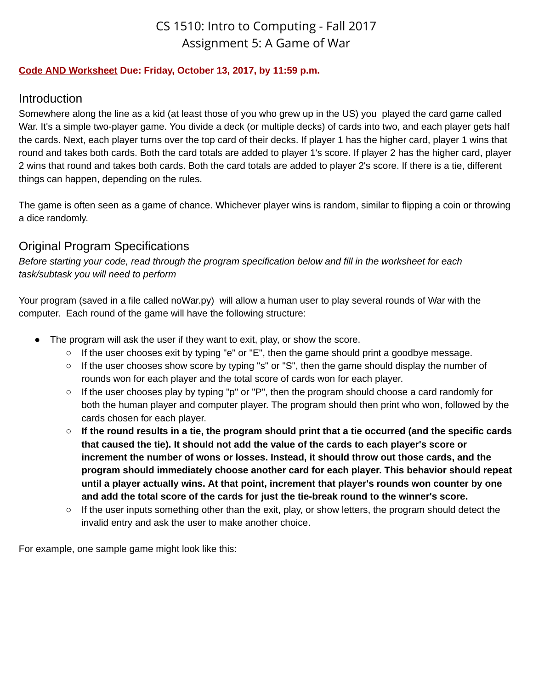# CS 1510: Intro to Computing - Fall 2017 Assignment 5: A Game of War

#### **Code AND Worksheet Due: Friday, October 13, 2017, by 11:59 p.m.**

#### Introduction

Somewhere along the line as a kid (at least those of you who grew up in the US) you played the card game called War. It's a simple two-player game. You divide a deck (or multiple decks) of cards into two, and each player gets half the cards. Next, each player turns over the top card of their decks. If player 1 has the higher card, player 1 wins that round and takes both cards. Both the card totals are added to player 1's score. If player 2 has the higher card, player 2 wins that round and takes both cards. Both the card totals are added to player 2's score. If there is a tie, different things can happen, depending on the rules.

The game is often seen as a game of chance. Whichever player wins is random, similar to flipping a coin or throwing a dice randomly.

## Original Program Specifications

Before starting your code, read through the program specification below and fill in the worksheet for each *task/subtask you will need to perform*

Your program (saved in a file called noWar.py) will allow a human user to play several rounds of War with the computer. Each round of the game will have the following structure:

- The program will ask the user if they want to exit, play, or show the score.
	- If the user chooses exit by typing "e" or "E", then the game should print a goodbye message.
	- If the user chooses show score by typing "s" or "S", then the game should display the number of rounds won for each player and the total score of cards won for each player.
	- If the user chooses play by typing "p" or "P", then the program should choose a card randomly for both the human player and computer player. The program should then print who won, followed by the cards chosen for each player.
	- $\circ$  If the round results in a tie, the program should print that a tie occurred (and the specific cards **that caused the tie). It should not add the value of the cards to each player's score or increment the number of wons or losses. Instead, it should throw out those cards, and the program should immediately choose another card for each player. This behavior should repeat until a player actually wins. At that point, increment that player's rounds won counter by one and add the total score of the cards for just the tie-break round to the winner's score.**
	- $\circ$  If the user inputs something other than the exit, play, or show letters, the program should detect the invalid entry and ask the user to make another choice.

For example, one sample game might look like this: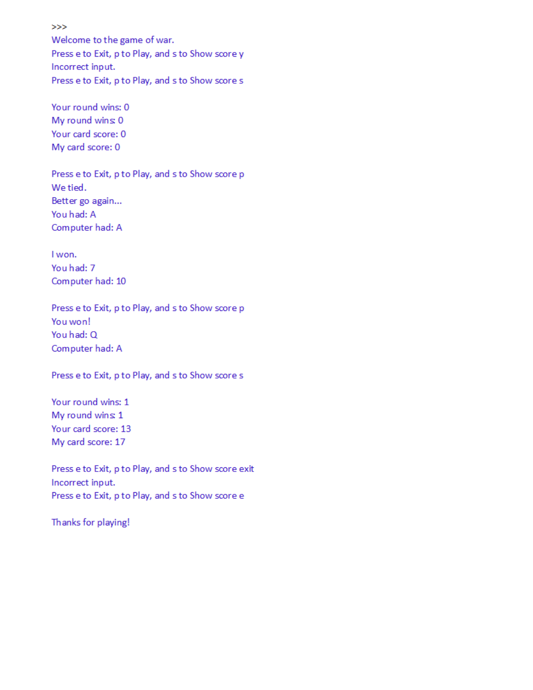$>>$ 

Welcome to the game of war. Press e to Exit, p to Play, and s to Show score y Incorrect input. Press e to Exit, p to Play, and s to Show score s

Your round wins: 0 My round wins: 0 Your card score: 0 My card score: 0

Press e to Exit, p to Play, and s to Show score p We tied. Better go again... You had: A Computer had: A

I won. You had: 7 Computer had: 10

Press e to Exit, p to Play, and s to Show score p You won! You had: Q Computer had: A

Press e to Exit, p to Play, and s to Show score s

Your round wins: 1 My round wins: 1 Your card score: 13 My card score: 17

Press e to Exit, p to Play, and s to Show score exit Incorrect input. Press e to Exit, p to Play, and s to Show score e

Thanks for playing!